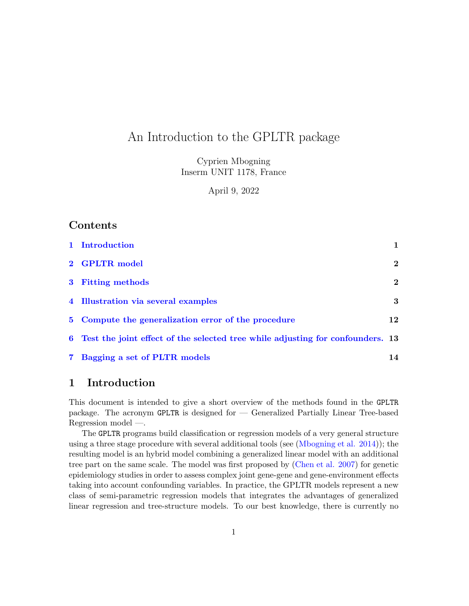# An Introduction to the GPLTR package

Cyprien Mbogning Inserm UNIT 1178, France

April 9, 2022

# Contents

| 1 Introduction                                                                   |              |
|----------------------------------------------------------------------------------|--------------|
| 2 GPLTR model                                                                    | $\mathbf{2}$ |
| 3 Fitting methods                                                                | $\mathbf{2}$ |
| 4 Illustration via several examples                                              | 3            |
| 5 Compute the generalization error of the procedure                              | 12           |
| 6 Test the joint effect of the selected tree while adjusting for confounders. 13 |              |
| 7 Bagging a set of PLTR models                                                   | 14           |

## <span id="page-0-0"></span>1 Introduction

This document is intended to give a short overview of the methods found in the GPLTR package. The acronym GPLTR is designed for — Generalized Partially Linear Tree-based Regression model —.

The GPLTR programs build classification or regression models of a very general structure using a three stage procedure with several additional tools (see [\(Mbogning et al. 2014\)](#page-23-0)); the resulting model is an hybrid model combining a generalized linear model with an additional tree part on the same scale. The model was first proposed by [\(Chen et al. 2007\)](#page-23-1) for genetic epidemiology studies in order to assess complex joint gene-gene and gene-environment effects taking into account confounding variables. In practice, the GPLTR models represent a new class of semi-parametric regression models that integrates the advantages of generalized linear regression and tree-structure models. To our best knowledge, there is currently no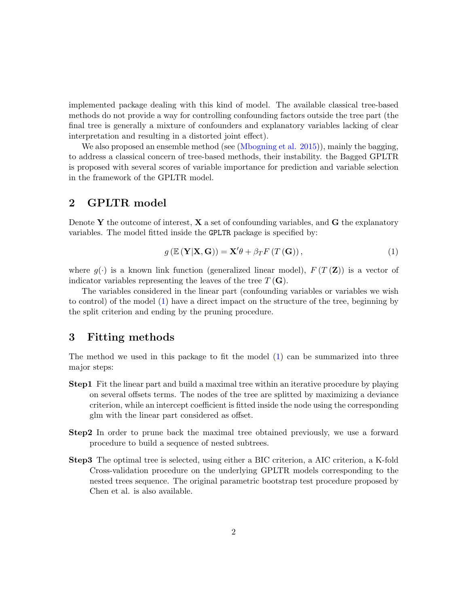implemented package dealing with this kind of model. The available classical tree-based methods do not provide a way for controlling confounding factors outside the tree part (the final tree is generally a mixture of confounders and explanatory variables lacking of clear interpretation and resulting in a distorted joint effect).

We also proposed an ensemble method (see [\(Mbogning et al. 2015\)](#page-23-2)), mainly the bagging, to address a classical concern of tree-based methods, their instability. the Bagged GPLTR is proposed with several scores of variable importance for prediction and variable selection in the framework of the GPLTR model.

# <span id="page-1-0"></span>2 GPLTR model

Denote Y the outcome of interest,  $X$  a set of confounding variables, and  $G$  the explanatory variables. The model fitted inside the GPLTR package is specified by:

<span id="page-1-2"></span>
$$
g\left(\mathbb{E}\left(\mathbf{Y}|\mathbf{X},\mathbf{G}\right)\right)=\mathbf{X}'\theta+\beta_T F\left(T\left(\mathbf{G}\right)\right),\tag{1}
$$

where  $q(\cdot)$  is a known link function (generalized linear model),  $F(T(\mathbf{Z}))$  is a vector of indicator variables representing the leaves of the tree  $T(\mathbf{G})$ .

The variables considered in the linear part (confounding variables or variables we wish to control) of the model [\(1\)](#page-1-2) have a direct impact on the structure of the tree, beginning by the split criterion and ending by the pruning procedure.

## <span id="page-1-1"></span>3 Fitting methods

The method we used in this package to fit the model [\(1\)](#page-1-2) can be summarized into three major steps:

- Step1 Fit the linear part and build a maximal tree within an iterative procedure by playing on several offsets terms. The nodes of the tree are splitted by maximizing a deviance criterion, while an intercept coefficient is fitted inside the node using the corresponding glm with the linear part considered as offset.
- Step2 In order to prune back the maximal tree obtained previously, we use a forward procedure to build a sequence of nested subtrees.
- Step3 The optimal tree is selected, using either a BIC criterion, a AIC criterion, a K-fold Cross-validation procedure on the underlying GPLTR models corresponding to the nested trees sequence. The original parametric bootstrap test procedure proposed by Chen et al. is also available.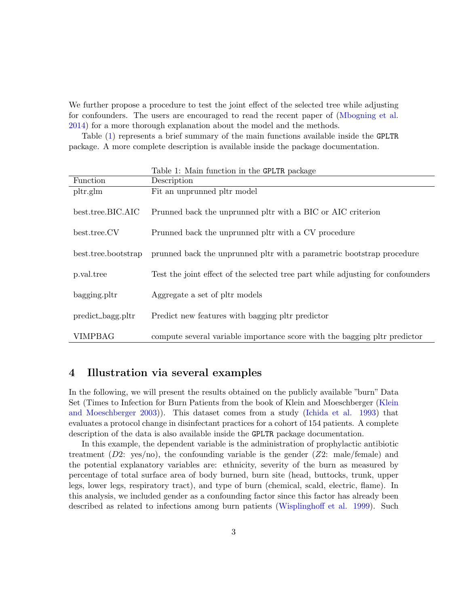We further propose a procedure to test the joint effect of the selected tree while adjusting for confounders. The users are encouraged to read the recent paper of [\(Mbogning et al.](#page-23-0) [2014\)](#page-23-0) for a more thorough explanation about the model and the methods.

Table [\(1\)](#page-2-1) represents a brief summary of the main functions available inside the GPLTR package. A more complete description is available inside the package documentation.

<span id="page-2-1"></span>

|                     | Table 1: Main function in the GPLTR package                                     |  |  |
|---------------------|---------------------------------------------------------------------------------|--|--|
| Function            | Description                                                                     |  |  |
| pltr.g.             | Fit an unprunned pltr model                                                     |  |  |
| best.tree.BIC.AIC   | Prunned back the unprunned pltr with a BIC or AIC criterion                     |  |  |
| best.tree.CV        | Prunned back the unprunned pltr with a CV procedure                             |  |  |
|                     |                                                                                 |  |  |
| best.tree.bootstrap | prunned back the unprunned pltr with a parametric bootstrap procedure           |  |  |
|                     |                                                                                 |  |  |
| p.val.tree          | Test the joint effect of the selected tree part while adjusting for confounders |  |  |
|                     |                                                                                 |  |  |
| bagging.pltr        | Aggregate a set of pltr models                                                  |  |  |
|                     |                                                                                 |  |  |
| predict_bagg.pltr   | Predict new features with bagging pltr predictor                                |  |  |
|                     |                                                                                 |  |  |
| <b>VIMPBAG</b>      | compute several variable importance score with the bagging pltr predictor       |  |  |

## <span id="page-2-0"></span>4 Illustration via several examples

In the following, we will present the results obtained on the publicly available "burn" Data Set (Times to Infection for Burn Patients from the book of Klein and Moeschberger [\(Klein](#page-23-3) [and Moeschberger 2003\)](#page-23-3)). This dataset comes from a study [\(Ichida et al. 1993\)](#page-23-4) that evaluates a protocol change in disinfectant practices for a cohort of 154 patients. A complete description of the data is also available inside the GPLTR package documentation.

In this example, the dependent variable is the administration of prophylactic antibiotic treatment  $(D2: yes/no)$ , the confounding variable is the gender  $(Z2: male/female)$  and the potential explanatory variables are: ethnicity, severity of the burn as measured by percentage of total surface area of body burned, burn site (head, buttocks, trunk, upper legs, lower legs, respiratory tract), and type of burn (chemical, scald, electric, flame). In this analysis, we included gender as a confounding factor since this factor has already been described as related to infections among burn patients [\(Wisplinghoff et al. 1999\)](#page-23-5). Such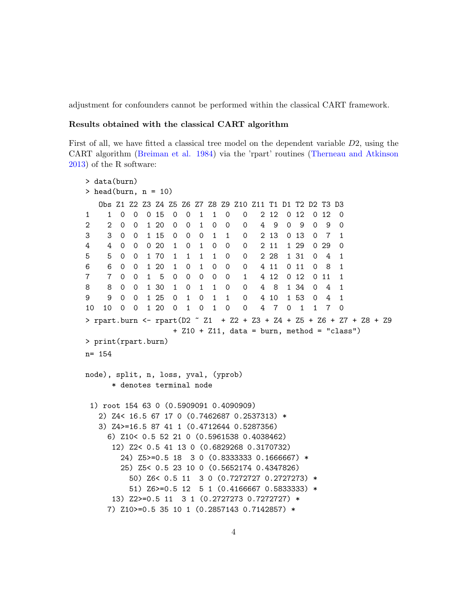adjustment for confounders cannot be performed within the classical CART framework.

#### Results obtained with the classical CART algorithm

First of all, we have fitted a classical tree model on the dependent variable D2, using the CART algorithm [\(Breiman et al. 1984\)](#page-23-6) via the 'rpart' routines [\(Therneau and Atkinson](#page-23-7) [2013\)](#page-23-7) of the R software:

```
> data(burn)
> head(burn, n = 10)
  Obs Z1 Z2 Z3 Z4 Z5 Z6 Z7 Z8 Z9 Z10 Z11 T1 D1 T2 D2 T3 D3
1 1 0 0 0 15 0 0 1 1 0 0 2 12 0 12 0 12 0
2 2 0 0 1 20 0 0 1 0 0 0 4 9 0 9 0 9 0
3 3 0 0 1 15 0 0 0 1 1 0 2 13 0 13 0 7 1
4 4 0 0 0 20 1 0 1 0 0 0 2 11 1 29 0 29 0
5 5 0 0 1 70 1 1 1 1 0 0 2 28 1 31 0 4 1
6 6 0 0 1 20 1 0 1 0 0 0 4 11 0 11 0 8 1
7 7 0 0 1 5 0 0 0 0 0 1 4 12 0 12 0 11 1
8 8 0 0 1 30 1 0 1 1 0 0 4 8 1 34 0 4 1
9 9 0 0 1 25 0 1 0 1 1 0 4 10 1 53 0 4 1
10 10 0 0 1 20 0 1 0 1 0 0 4 7 0 1 1 7 0
> rpart.burn <- rpart(D2 \degree Z1 + Z2 + Z3 + Z4 + Z5 + Z6 + Z7 + Z8 + Z9
                 + Z10 + Z11, data = burn, method = "class")
> print(rpart.burn)
n= 154
node), split, n, loss, yval, (yprob)
     * denotes terminal node
 1) root 154 63 0 (0.5909091 0.4090909)
  2) Z4< 16.5 67 17 0 (0.7462687 0.2537313) *
  3) Z4>=16.5 87 41 1 (0.4712644 0.5287356)
    6) Z10< 0.5 52 21 0 (0.5961538 0.4038462)
     12) Z2< 0.5 41 13 0 (0.6829268 0.3170732)
       24) Z5>=0.5 18 3 0 (0.8333333 0.1666667) *
       25) Z5< 0.5 23 10 0 (0.5652174 0.4347826)
        50) Z6< 0.5 11 3 0 (0.7272727 0.2727273) *
        51) Z6>=0.5 12 5 1 (0.4166667 0.5833333) *
     13) Z2>=0.5 11 3 1 (0.2727273 0.7272727) *
    7) Z10>=0.5 35 10 1 (0.2857143 0.7142857) *
```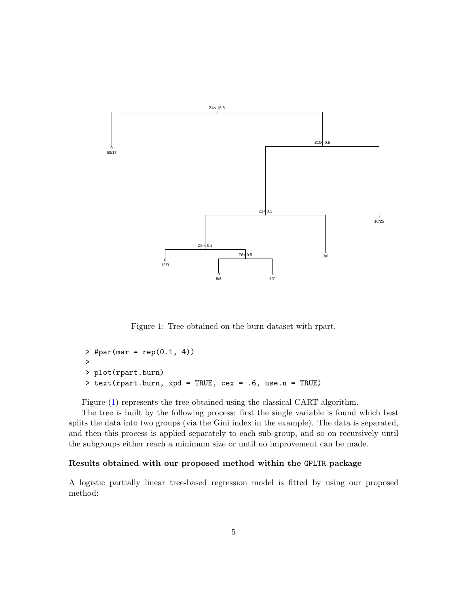

<span id="page-4-0"></span>Figure 1: Tree obtained on the burn dataset with rpart.

```
> #par(mar = rep(0.1, 4))
>
> plot(rpart.burn)
> text(rpart.burn, xpd = TRUE, cex = .6, use.n = TRUE)
```
Figure [\(1\)](#page-4-0) represents the tree obtained using the classical CART algorithm.

The tree is built by the following process: first the single variable is found which best splits the data into two groups (via the Gini index in the example). The data is separated, and then this process is applied separately to each sub-group, and so on recursively until the subgroups either reach a minimum size or until no improvement can be made.

### Results obtained with our proposed method within the GPLTR package

A logistic partially linear tree-based regression model is fitted by using our proposed method: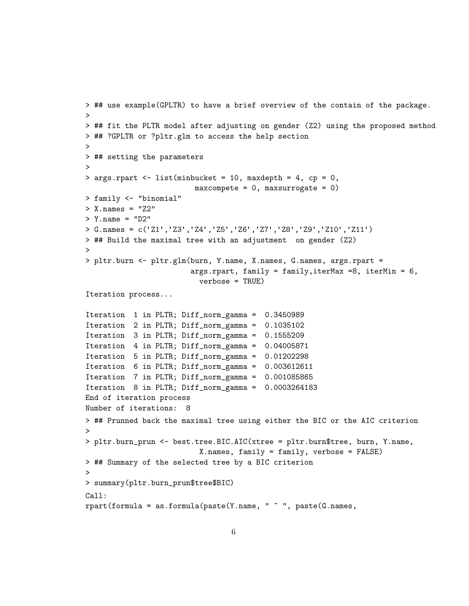```
> ## use example(GPLTR) to have a brief overview of the contain of the package.
>
> ## fit the PLTR model after adjusting on gender (Z2) using the proposed method
> ## ?GPLTR or ?pltr.glm to access the help section
>
> ## setting the parameters
>
> args.rpart <- list(minbucket = 10, maxdepth = 4, cp = 0,
                        max compete = 0, maxsurrogate = 0> family <- "binomial"
> X.names = "Z2"> Y.name = "D2"
> G.names = c('Z1','Z3','Z4','Z5','Z6','Z7','Z8','Z9','Z10','Z11')
> ## Build the maximal tree with an adjustment on gender (Z2)
>
> pltr.burn <- pltr.glm(burn, Y.name, X.names, G.names, args.rpart =
                        args.rpart, family = family,iterMax =8, iterMin = 6,
                          verbose = TRUE)
Iteration process...
Iteration 1 in PLTR; Diff_norm_gamma = 0.3450989
Iteration 2 in PLTR; Diff_norm_gamma = 0.1035102
Iteration 3 in PLTR; Diff_norm_gamma = 0.1555209
Iteration 4 in PLTR; Diff_norm_gamma = 0.04005871
Iteration 5 in PLTR; Diff_norm_gamma = 0.01202298
Iteration 6 in PLTR; Diff_norm_gamma = 0.003612611
Iteration 7 in PLTR; Diff_norm_gamma = 0.001085865
Iteration 8 in PLTR; Diff_norm_gamma = 0.0003264183
End of iteration process
Number of iterations: 8
> ## Prunned back the maximal tree using either the BIC or the AIC criterion
>
> pltr.burn_prun <- best.tree.BIC.AIC(xtree = pltr.burn$tree, burn, Y.name,
                          X.names, family = family, verbose = FALSE)
> ## Summary of the selected tree by a BIC criterion
>
> summary(pltr.burn_prun$tree$BIC)
Call:
rpart(formula = as.format(a,base(Y.name, " " " , paste(G.name,
```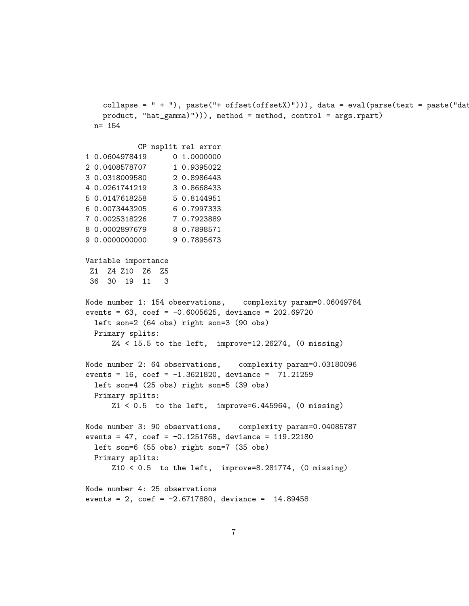```
collapse = " + "), paste("+ offset(offsetX)"))), data = eval(parse(text = paste("dat
   product, "hat_gamma)"))), method = method, control = args.rpart)
  n= 154
           CP nsplit rel error
1 0.0604978419 0 1.0000000
2 0.0408578707 1 0.9395022
3 0.0318009580 2 0.8986443
4 0.0261741219 3 0.8668433
5 0.0147618258 5 0.8144951
6 0.0073443205 6 0.7997333
7 0.0025318226 7 0.7923889
8 0.0002897679 8 0.7898571
9 0.0000000000 9 0.7895673
Variable importance
 Z1 Z4 Z10 Z6 Z5
 36 30 19 11 3
Node number 1: 154 observations, complexity param=0.06049784
events = 63, coef = -0.6005625, deviance = 202.69720left son=2 (64 obs) right son=3 (90 obs)
  Primary splits:
      Z4 < 15.5 to the left, improve=12.26274, (0 missing)
Node number 2: 64 observations, complexity param=0.03180096
events = 16, \text{coef} = -1.3621820, deviance = 71.21259
  left son=4 (25 obs) right son=5 (39 obs)
  Primary splits:
      Z1 < 0.5 to the left, improve=6.445964, (0 missing)
Node number 3: 90 observations, complexity param=0.04085787
events = 47, \text{coef} = -0.1251768, deviance = 119.22180
  left son=6 (55 obs) right son=7 (35 obs)
  Primary splits:
      Z10 < 0.5 to the left, improve=8.281774, (0 missing)
Node number 4: 25 observations
events = 2, \text{coef} = -2.6717880, deviance = 14.89458
```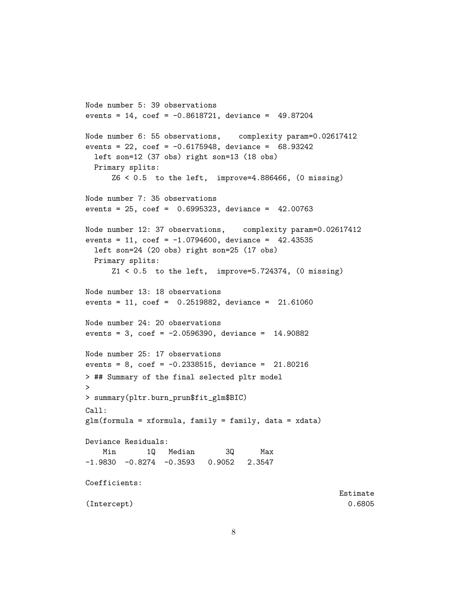```
Node number 5: 39 observations
events = 14, \text{coef} = -0.8618721, deviance = 49.87204
Node number 6: 55 observations, complexity param=0.02617412
events = 22, \cot = -0.6175948, deviance = 68.93242left son=12 (37 obs) right son=13 (18 obs)
 Primary splits:
     Z6 \leq 0.5 to the left, improve=4.886466, (0 missing)
Node number 7: 35 observations
events = 25, coef = 0.6995323, deviance = 42.00763
Node number 12: 37 observations, complexity param=0.02617412
events = 11, \text{coef} = -1.0794600, deviance = 42.43535
  left son=24 (20 obs) right son=25 (17 obs)
 Primary splits:
     Z1 < 0.5 to the left, improve=5.724374, (0 missing)
Node number 13: 18 observations
events = 11, coef = 0.2519882, deviance = 21.61060
Node number 24: 20 observations
events = 3, \text{coef} = -2.0596390, deviance = 14.90882
Node number 25: 17 observations
events = 8, coef = -0.2338515, deviance = 21.80216
> ## Summary of the final selected pltr model
\geq> summary(pltr.burn_prun$fit_glm$BIC)
Call:
glm(formula = xformula, family = family, data = xdata)
Deviance Residuals:
   Min 1Q Median 3Q Max
-1.9830 -0.8274 -0.3593 0.9052 2.3547
Coefficients:
                                                       Estimate
(Intercept) 0.6805
```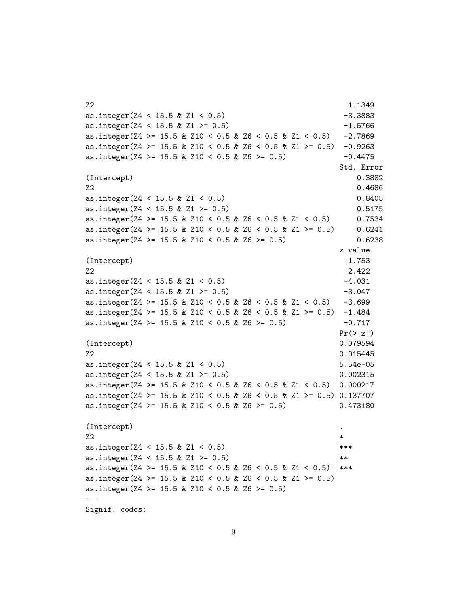```
Z2 \hspace{2.5cm} 1.1349as.integer(Z4 < 15.5 & Z1 < 0.5) -3.3883
as.integer(Z4 \leq 15.5 \& Z1 \geq 0.5) -1.5766
as.integer(Z4 >= 15.5 & Z10 < 0.5 & Z6 < 0.5 & Z1 < 0.5) -2.7869
as.integer(Z4 >= 15.5 & Z10 < 0.5 & Z6 < 0.5 & Z1 >= 0.5) -0.9263
as.integer(Z4 >= 15.5 & Z10 < 0.5 & Z6 >= 0.5) -0.4475Std. Error
(Intercept) 0.3882
Z2 \t\t 0.4686as.integer(Z4 < 15.5 & Z1 < 0.5) 0.8405
as.integer(Z4 < 15.5 & Z1 >= 0.5) 0.5175
as.integer(Z4 >= 15.5 & Z10 < 0.5 & Z6 < 0.5 & Z1 < 0.5) 0.7534
as.integer(Z4 >= 15.5 & Z10 < 0.5 & Z6 < 0.5 & Z1 >= 0.5) 0.6241
as.integer(Z4 >= 15.5 & Z10 < 0.5 & Z6 >= 0.5) 0.6238
                                       z value
(Intercept) 1.753
Z2 2.422
as.integer(Z4 < 15.5 & Z1 < 0.5) -4.031
as.integer(Z4 \leq 15.5 \& Z1 \geq 0.5) -3.047as.integer(Z4 >= 15.5 & Z10 < 0.5 & Z6 < 0.5 & Z1 < 0.5) -3.699
as.integer(Z4 >= 15.5 & Z10 < 0.5 & Z6 < 0.5 & Z1 >= 0.5) -1.484
as.integer(Z4 >= 15.5 & Z10 < 0.5 & Z6 >= 0.5) -0.717Pr(>|z|)(Intercept) 0.079594
Z2 0.015445
as.integer(Z4 < 15.5 & Z1 < 0.5) 5.54e-05
as.integer(Z4 < 15.5 & Z1 >= 0.5) 0.002315
as.integer(Z4 >= 15.5 & Z10 < 0.5 & Z6 < 0.5 & Z1 < 0.5) 0.000217
as.integer(Z4 >= 15.5 & Z10 < 0.5 & Z6 < 0.5 & Z1 >= 0.5) 0.137707
as.integer(Z4 >= 15.5 & Z10 < 0.5 & Z6 >= 0.5) 0.473180
(Intercept) .
Z2 \rightarrowas.integer(Z4 < 15.5 & Z1 < 0.5) ***
as.integer(Z4 < 15.5 & Z1 >= 0.5) **
as.integer(Z4 >= 15.5 & Z10 < 0.5 & Z6 < 0.5 & Z1 < 0.5) ***
as.integer(Z4 >= 15.5 & Z10 < 0.5 & Z6 < 0.5 & Z1 >= 0.5)
as.integer(Z4 >= 15.5 & Z10 < 0.5 & Z6 >= 0.5)
---
Signif. codes:
```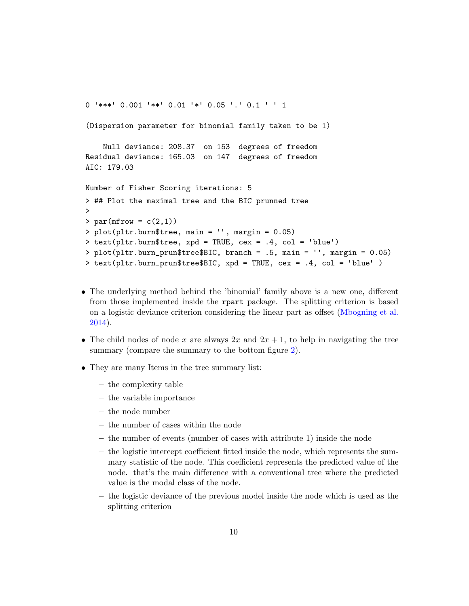<sup>0</sup> '\*\*\*' 0.001 '\*\*' 0.01 '\*' 0.05 '.' 0.1 ' ' <sup>1</sup>

```
(Dispersion parameter for binomial family taken to be 1)
```
Null deviance: 208.37 on 153 degrees of freedom Residual deviance: 165.03 on 147 degrees of freedom AIC: 179.03

```
Number of Fisher Scoring iterations: 5
> ## Plot the maximal tree and the BIC prunned tree
\rightarrow> par(mfrow = c(2,1))> plot(pltr.burn$tree, main = '', margin = 0.05)
> text(pltr.burn$tree, xpd = TRUE, cex = .4, col = 'blue')
> plot(pltr.burn_prun$tree$BIC, branch = .5, main = '', margin = 0.05)
> text(pltr.burn_prun$tree$BIC, xpd = TRUE, cex = .4, col = 'blue' )
```
- The underlying method behind the 'binomial' family above is a new one, different from those implemented inside the rpart package. The splitting criterion is based on a logistic deviance criterion considering the linear part as offset [\(Mbogning et al.](#page-23-0) [2014\)](#page-23-0).
- The child nodes of node x are always  $2x$  and  $2x + 1$ , to help in navigating the tree summary (compare the summary to the bottom figure [2\)](#page-10-0).
- They are many Items in the tree summary list:
	- the complexity table
	- the variable importance
	- the node number
	- the number of cases within the node
	- the number of events (number of cases with attribute 1) inside the node
	- the logistic intercept coefficient fitted inside the node, which represents the summary statistic of the node. This coefficient represents the predicted value of the node. that's the main difference with a conventional tree where the predicted value is the modal class of the node.
	- the logistic deviance of the previous model inside the node which is used as the splitting criterion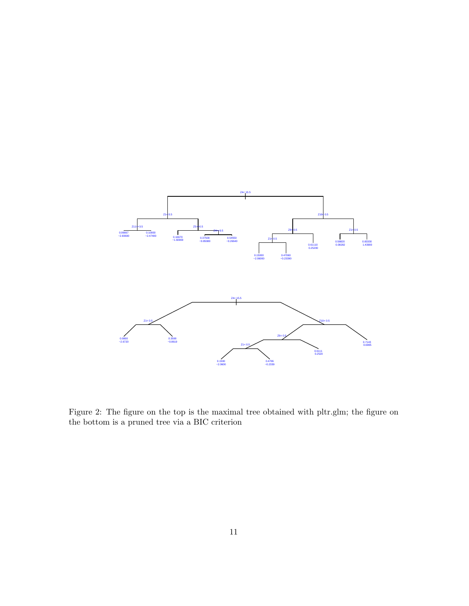

<span id="page-10-0"></span>Figure 2: The figure on the top is the maximal tree obtained with pltr.glm; the figure on the bottom is a pruned tree via a BIC criterion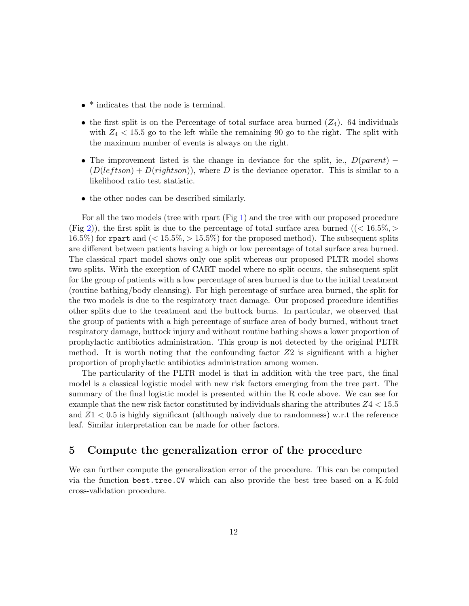- $\bullet$  \* indicates that the node is terminal.
- the first split is on the Percentage of total surface area burned  $(Z_4)$ . 64 individuals with  $Z_4$  < 15.5 go to the left while the remaining 90 go to the right. The split with the maximum number of events is always on the right.
- The improvement listed is the change in deviance for the split, ie.,  $D(parent)$   $(D(leftson) + D(rightson))$ , where D is the deviance operator. This is similar to a likelihood ratio test statistic.
- the other nodes can be described similarly.

For all the two models (tree with rpart (Fig [1\)](#page-4-0) and the tree with our proposed procedure (Fig [2\)](#page-10-0)), the first split is due to the percentage of total surface area burned ( $\zeta$  16.5%,  $>$ 16.5%) for repart and  $\approx$  15.5%,  $>$  15.5%) for the proposed method). The subsequent splits are different between patients having a high or low percentage of total surface area burned. The classical rpart model shows only one split whereas our proposed PLTR model shows two splits. With the exception of CART model where no split occurs, the subsequent split for the group of patients with a low percentage of area burned is due to the initial treatment (routine bathing/body cleansing). For high percentage of surface area burned, the split for the two models is due to the respiratory tract damage. Our proposed procedure identifies other splits due to the treatment and the buttock burns. In particular, we observed that the group of patients with a high percentage of surface area of body burned, without tract respiratory damage, buttock injury and without routine bathing shows a lower proportion of prophylactic antibiotics administration. This group is not detected by the original PLTR method. It is worth noting that the confounding factor  $Z2$  is significant with a higher proportion of prophylactic antibiotics administration among women.

The particularity of the PLTR model is that in addition with the tree part, the final model is a classical logistic model with new risk factors emerging from the tree part. The summary of the final logistic model is presented within the R code above. We can see for example that the new risk factor constituted by individuals sharing the attributes  $Z4 < 15.5$ and  $Z_1$  < 0.5 is highly significant (although naively due to randomness) w.r.t the reference leaf. Similar interpretation can be made for other factors.

### <span id="page-11-0"></span>5 Compute the generalization error of the procedure

We can further compute the generalization error of the procedure. This can be computed via the function best.tree.CV which can also provide the best tree based on a K-fold cross-validation procedure.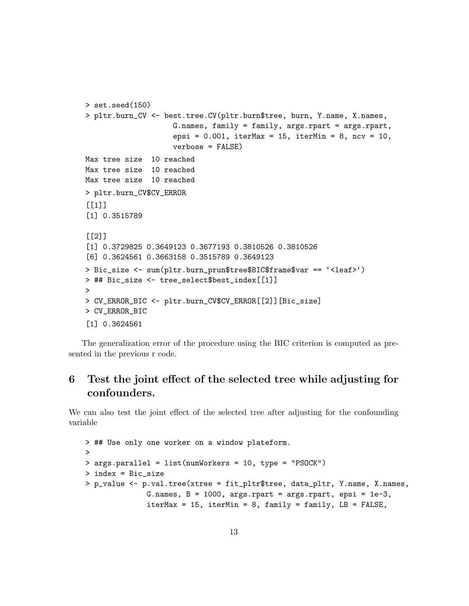```
> set.seed(150)
> pltr.burn_CV <- best.tree.CV(pltr.burn$tree, burn, Y.name, X.names,
                    G.names, family = family, args.rpart = args.rpart,
                    epsi = 0.001, iterMax = 15, iterMin = 8, ncv = 10,
                    verbose = FALSE)
Max tree size 10 reached
Max tree size 10 reached
Max tree size 10 reached
> pltr.burn_CV$CV_ERROR
[[1]]
[1] 0.3515789
\lceil[2]]
[1] 0.3729825 0.3649123 0.3677193 0.3810526 0.3810526
[6] 0.3624561 0.3663158 0.3515789 0.3649123
> Bic_size <- sum(pltr.burn_prun$tree$BIC$frame$var == '<leaf>')
> ## Bic_size <- tree_select$best_index[[1]]
>
> CV_ERROR_BIC <- pltr.burn_CV$CV_ERROR[[2]][Bic_size]
> CV_ERROR_BIC
[1] 0.3624561
```
The generalization error of the procedure using the BIC criterion is computed as presented in the previous r code.

# <span id="page-12-0"></span>6 Test the joint effect of the selected tree while adjusting for confounders.

We can also test the joint effect of the selected tree after adjusting for the confounding variable

```
> ## Use only one worker on a window plateform.
>
> args.parallel = list(numWorkers = 10, type = "PSOCK")
> index = Bic_size
> p_value <- p.val.tree(xtree = fit_pltr$tree, data_pltr, Y.name, X.names,
              G.names, B = 1000, argsَ  , <math>parts = args. rpart, epsi = 1e-3,
               iterMax = 15, iterMin = 8, family = family, LB = FALSE,
```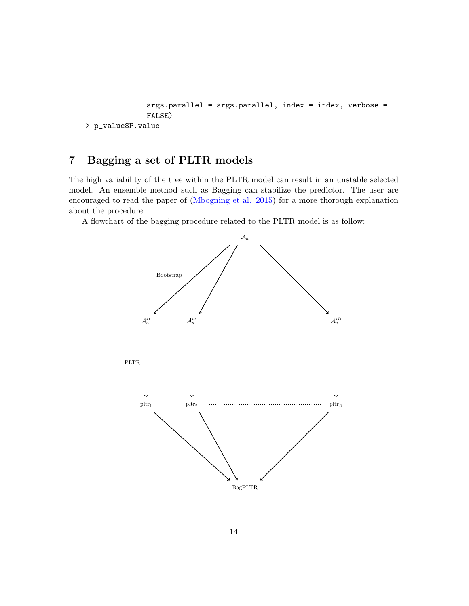```
args.parallel = args.parallel, index = index, verbose =
              FALSE)
> p_value$P.value
```
# <span id="page-13-0"></span>7 Bagging a set of PLTR models

The high variability of the tree within the PLTR model can result in an unstable selected model. An ensemble method such as Bagging can stabilize the predictor. The user are encouraged to read the paper of [\(Mbogning et al. 2015\)](#page-23-2) for a more thorough explanation about the procedure.

A flowchart of the bagging procedure related to the PLTR model is as follow:

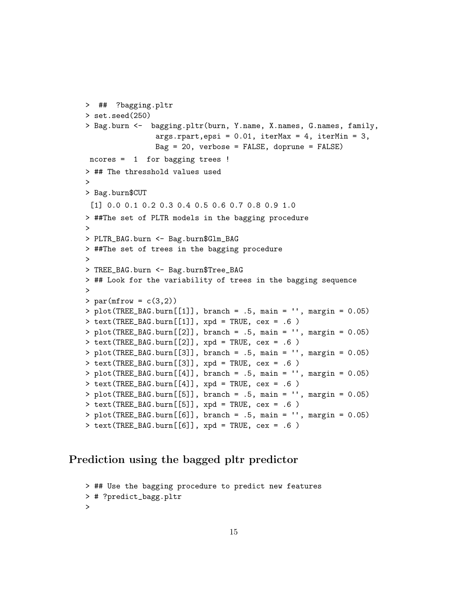```
> ## ?bagging.pltr
> set.seed(250)
> Bag.burn <- bagging.pltr(burn, Y.name, X.names, G.names, family,
                args.rpart,epsi = 0.01, iterMax = 4, iterMin = 3,Bag = 20, verbose = FALSE, doprune = FALSE)
ncores = 1 for bagging trees !
> ## The thresshold values used
>
> Bag.burn$CUT
 [1] 0.0 0.1 0.2 0.3 0.4 0.5 0.6 0.7 0.8 0.9 1.0
> ##The set of PLTR models in the bagging procedure
\rightarrow> PLTR_BAG.burn <- Bag.burn$Glm_BAG
> ##The set of trees in the bagging procedure
>
> TREE_BAG.burn <- Bag.burn$Tree_BAG
> ## Look for the variability of trees in the bagging sequence
>
> par(mfrow = c(3,2))> plot(TREE_BAG.burn[[1]], branch = .5, main = '', margin = 0.05)
> text(TREE_BAG.burn[[1]], xpd = TRUE, cex = .6)
> plot(TREE_BAG.burn[[2]], branch = .5, main = '', margin = 0.05)
> text(TREE_BAG.burn[[2]], xpd = TRUE, cex = .6)
> plot(TREE_BAG.burn[[3]], branch = .5, main = '', margin = 0.05)
> text(TREE_BAG.burn[[3]], xpd = TRUE, cex = .6)
> plot(TREE_BAG.burn[[4]], branch = .5, main = '', margin = 0.05)
> text(TREE_BAG.burn[[4]], xpd = TRUE, cex = .6)
> plot(TREE_BAG.burn[[5]], branch = .5, main = '', margin = 0.05)
> text(TREE_BAG.burn[[5]], xpd = TRUE, cex = .6)
> plot (TREE_BAG.burn[[6]]), branch = .5, main = '', margin = 0.05)
> text(TREE_BAG.burn[[6]], xpd = TRUE, cex = .6)
```
# Prediction using the bagged pltr predictor

```
> ## Use the bagging procedure to predict new features
> # ?predict_bagg.pltr
>
```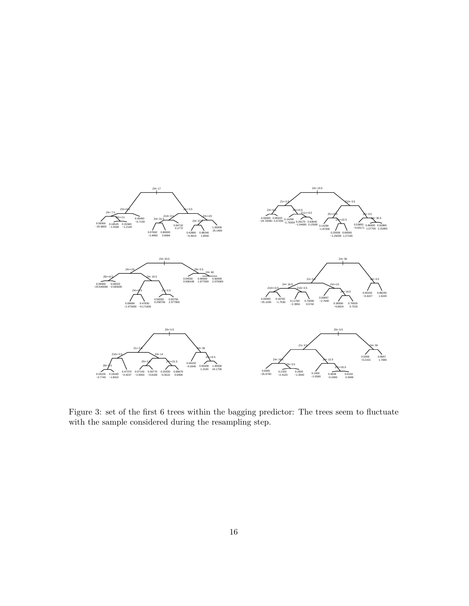

Figure 3: set of the first 6 trees within the bagging predictor: The trees seem to fluctuate with the sample considered during the resampling step.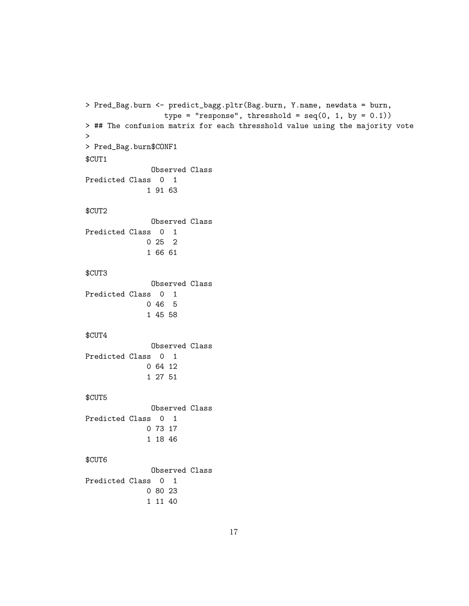```
> Pred_Bag.burn <- predict_bagg.pltr(Bag.burn, Y.name, newdata = burn,
                  type = "response", thresshold = seq(0, 1, by = 0.1))
> ## The confusion matrix for each thresshold value using the majority vote
>
> Pred_Bag.burn$CONF1
$CUT1
              Observed Class
Predicted Class 0 1
              1 91 63
$CUT2
              Observed Class
Predicted Class 0 1
             0 25 2
              1 66 61
$CUT3
              Observed Class
Predicted Class 0 1
             0 46 5
              1 45 58
$CUT4
              Observed Class
Predicted Class 0 1
             0 64 12
              1 27 51
$CUT5
              Observed Class
Predicted Class 0 1
             0 73 17
              1 18 46
$CUT6
              Observed Class
Predicted Class 0 1
             0 80 23
              1 11 40
```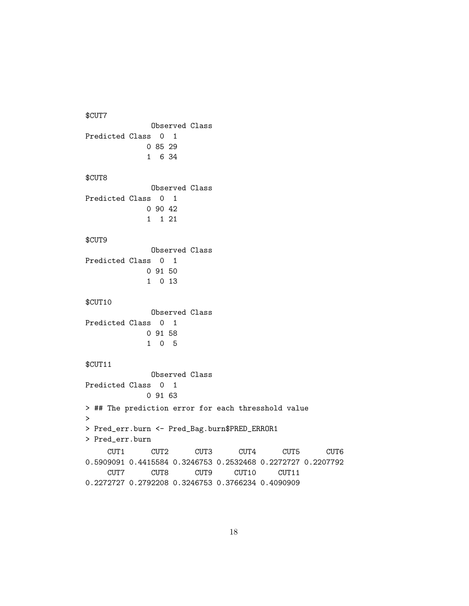\$CUT7 Observed Class Predicted Class 0 1 0 85 29 1 6 34 \$CUT8 Observed Class Predicted Class 0 1 0 90 42 1 1 21 \$CUT9 Observed Class Predicted Class 0 1 0 91 50 1 0 13 \$CUT10 Observed Class Predicted Class 0 1 0 91 58 1 0 5 \$CUT11 Observed Class Predicted Class 0 1 0 91 63 > ## The prediction error for each thresshold value > > Pred\_err.burn <- Pred\_Bag.burn\$PRED\_ERROR1 > Pred\_err.burn CUT1 CUT2 CUT3 CUT4 CUT5 CUT6 0.5909091 0.4415584 0.3246753 0.2532468 0.2272727 0.2207792 CUT7 CUT8 CUT9 CUT10 CUT11 0.2272727 0.2792208 0.3246753 0.3766234 0.4090909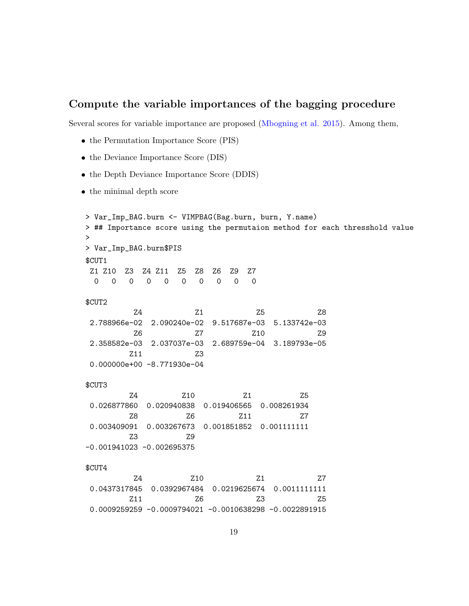# Compute the variable importances of the bagging procedure

Several scores for variable importance are proposed [\(Mbogning et al. 2015\)](#page-23-2). Among them,

- the Permutation Importance Score (PIS)
- the Deviance Importance Score (DIS)
- the Depth Deviance Importance Score (DDIS)
- the minimal depth score

```
> Var_Imp_BAG.burn <- VIMPBAG(Bag.burn, burn, Y.name)
> ## Importance score using the permutaion method for each thresshold value
>
> Var_Imp_BAG.burn$PIS
$CUT1
Z1 Z10 Z3 Z4 Z11 Z5 Z8 Z6 Z9 Z7
 0 0 0 0 0 0 0 0 0 0
$CUT2
        Z4 Z1 Z5 Z8
2.788966e-02 2.090240e-02 9.517687e-03 5.133742e-03
        Z6 Z7 Z10 Z9
2.358582e-03 2.037037e-03 2.689759e-04 3.189793e-05
       Z11 Z3
0.000000e+00 -8.771930e-04
$CUT3
       Z4 Z10 Z1 Z5
0.026877860 0.020940838 0.019406565 0.008261934
       Z8 Z6 Z11 Z7
0.003409091 0.003267673 0.001851852 0.001111111
       Z3 Z9
-0.001941023 -0.002695375
$CUT4
        Z4 Z10 Z1 Z7
0.0437317845 0.0392967484 0.0219625674 0.0011111111
       Z11 Z6 Z3 Z50.0009259259 -0.0009794021 -0.0010638298 -0.0022891915
```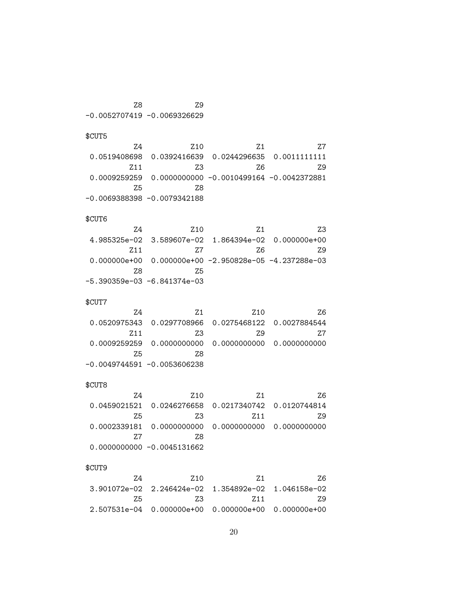Z8 Z9 -0.0052707419 -0.0069326629

\$CUT5

|    | 7.1 | 7.10                                                                      | 7.4  |
|----|-----|---------------------------------------------------------------------------|------|
|    |     | 0.0519408698  0.0392416639  0.0244296635  0.0011111111                    |      |
| 79 | 7.6 | 73                                                                        | 7.11 |
|    |     | $0.0009259259 \quad 0.0000000000 \quad -0.0010499164 \quad -0.0042372881$ |      |
|    |     | 78                                                                        | 7.5  |
|    |     | -0.0069388398 -0.0079342188                                               |      |

#### \$CUT6

| 7.3 | 7.1 | 7.10                                                    | 7.4  |
|-----|-----|---------------------------------------------------------|------|
|     |     | $4.985325e-02$ 3.589607e-02 1.864394e-02 0.000000e+00   |      |
| 79  | 7.6 | 7.7                                                     | 7.11 |
|     |     | $0.000000e+00$ 0.000000e+00 -2.950828e-05 -4.237288e-03 |      |
|     |     | 7.5                                                     | 7.8  |
|     |     | -5.390359e-03 -6.841374e-03                             |      |

### \$CUT7

| 76  | 7.10 | 7.1                                                                     | 7.4  |
|-----|------|-------------------------------------------------------------------------|------|
|     |      | $0.0520975343 \quad 0.0297708966 \quad 0.0275468122 \quad 0.0027884544$ |      |
| 7.7 | 7.9  | 7.3                                                                     | 7.11 |
|     |      |                                                                         |      |
|     |      | 7.8                                                                     | 75   |
|     |      | -0.0049744591 -0.0053606238                                             |      |

### \$CUT8

| $0.0459021521$ 0.0246276658 0.0217340742 0.0120744814<br>73<br>75<br>7.11<br>78<br>77<br>$0.0000000000 - 0.0045131662$ | 7.4 | 7.10 | 7.1 | 7.6 |
|------------------------------------------------------------------------------------------------------------------------|-----|------|-----|-----|
|                                                                                                                        |     |      |     |     |
|                                                                                                                        |     |      |     | 7.9 |
|                                                                                                                        |     |      |     |     |
|                                                                                                                        |     |      |     |     |
|                                                                                                                        |     |      |     |     |

### \$CUT9

| 76. | 7.1  | 7.10                                                            | 74  |
|-----|------|-----------------------------------------------------------------|-----|
|     |      | $3.901072$ e-02 $2.246424$ e-02 $1.354892$ e-02 $1.046158$ e-02 |     |
| 79  | 7.11 | 73.                                                             | 7.5 |
|     |      | $2.507531e-04$ 0.000000e+00 0.000000e+00 0.000000e+00           |     |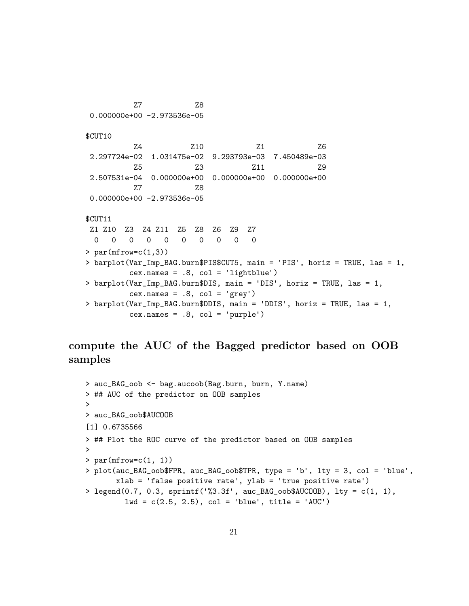Z7 Z8 0.000000e+00 -2.973536e-05 \$CUT10 Z4 Z10 Z1 Z6 2.297724e-02 1.031475e-02 9.293793e-03 7.450489e-03 Z5 Z3 Z11 Z9 2.507531e-04 0.000000e+00 0.000000e+00 0.000000e+00 Z7 Z8 0.000000e+00 -2.973536e-05 \$CUT11 Z1 Z10 Z3 Z4 Z11 Z5 Z8 Z6 Z9 Z7 0 0 0 0 0 0 0 0 0 0  $> par(mfrow=c(1,3))$ > barplot(Var\_Imp\_BAG.burn\$PIS\$CUT5, main = 'PIS', horiz = TRUE, las = 1, cex.names = .8, col = 'lightblue') > barplot(Var\_Imp\_BAG.burn\$DIS, main = 'DIS', horiz = TRUE, las = 1,  $cex.name = .8, col = 'grey')$ > barplot(Var\_Imp\_BAG.burn\$DDIS, main = 'DDIS', horiz = TRUE, las = 1, cex.names = .8, col = 'purple')

compute the AUC of the Bagged predictor based on OOB samples

```
> auc_BAG_oob <- bag.aucoob(Bag.burn, burn, Y.name)
> ## AUC of the predictor on OOB samples
>
> auc_BAG_oob$AUCOOB
[1] 0.6735566
> ## Plot the ROC curve of the predictor based on OOB samples
\mathbf{v}> par(mfrow=c(1, 1))> plot(auc_BAG_oob$FPR, auc_BAG_oob$TPR, type = 'b', lty = 3, col = 'blue',
       xlab = 'false positive rate', ylab = 'true positive rate')
> legend(0.7, 0.3, sprintf('%3.3f', auc_BAG_oob$AUCOOB), lty = c(1, 1),
         1wd = c(2.5, 2.5), col = 'blue', title = 'AUC')
```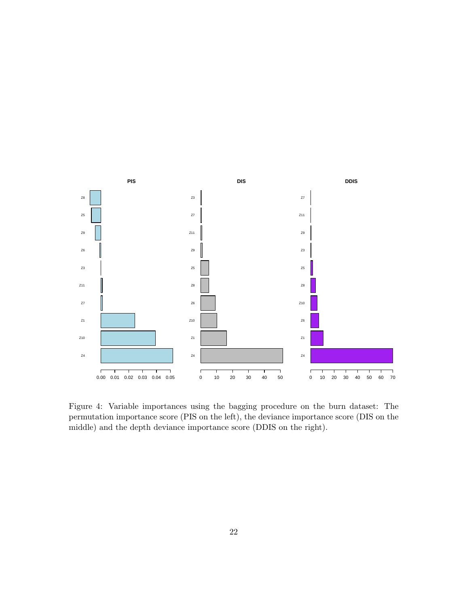

Figure 4: Variable importances using the bagging procedure on the burn dataset: The permutation importance score (PIS on the left), the deviance importance score (DIS on the middle) and the depth deviance importance score (DDIS on the right).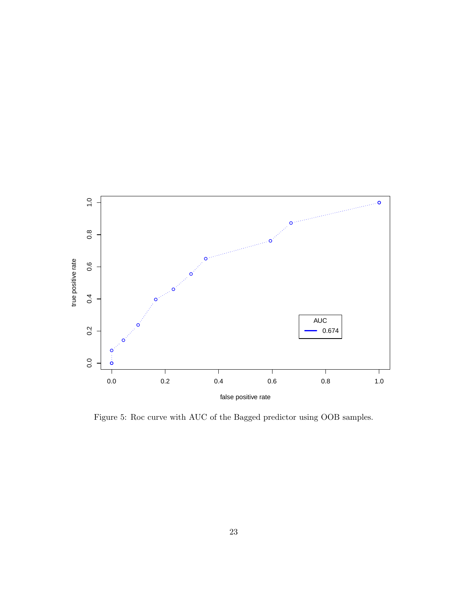

Figure 5: Roc curve with AUC of the Bagged predictor using OOB samples.